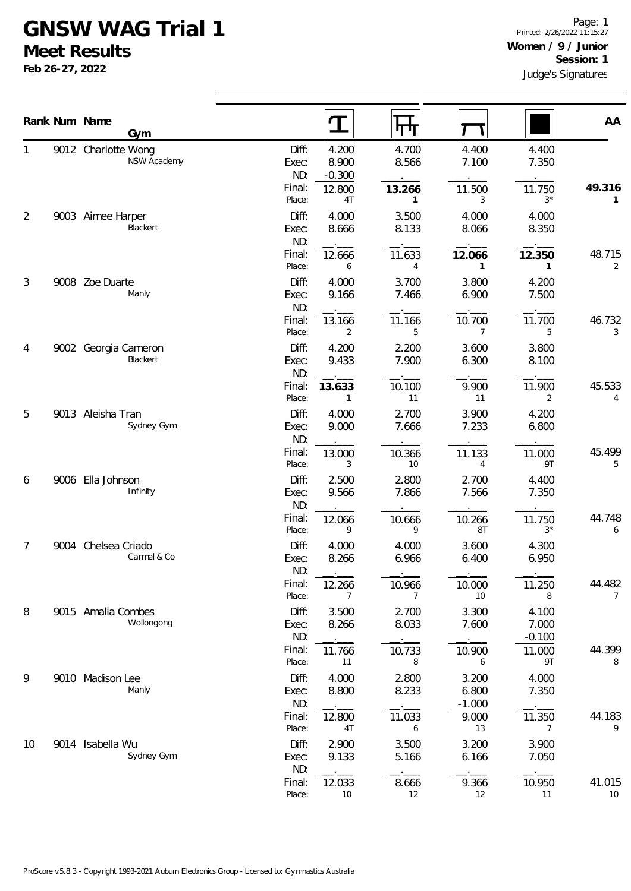## **GNSW WAG Trial 1**

**Meet Results**

**Feb 26-27, 2022**

|    |      | Rank Num Name<br>Gym               |                                 | $\mathbf T$<br>पाप                                   |                                     |                            | AA                       |
|----|------|------------------------------------|---------------------------------|------------------------------------------------------|-------------------------------------|----------------------------|--------------------------|
| 1  |      | 9012 Charlotte Wong<br>NSW Academy | Diff:<br>Exec:<br>ND:           | 4.200<br>4.700<br>8.900<br>8.566<br>$-0.300$         | 4.400<br>7.100                      | 4.400<br>7.350             |                          |
|    |      |                                    | Final:<br>Place:                | 12.800<br>13.266<br>4T<br>$\mathbf{1}$               | 11.500<br>3                         | 11.750<br>$3*$             | 49.316<br>1              |
| 2  | 9003 | Aimee Harper<br>Blackert           | Diff:<br>Exec:<br>ND:           | 4.000<br>3.500<br>8.133<br>8.666                     | 4.000<br>8.066                      | 4.000<br>8.350             |                          |
|    |      |                                    | Final:<br>Place:                | 11.633<br>12.666<br>6<br>4                           | 12.066<br>$\mathbf{1}$              | 12.350<br>$\mathbf{1}$     | 48.715<br>2              |
| 3  |      | 9008 Zoe Duarte<br>Manly           | Diff:<br>Exec:<br>ND:           | 4.000<br>3.700<br>9.166<br>7.466                     | 3.800<br>6.900                      | 4.200<br>7.500             |                          |
|    |      |                                    | Final:<br>Place:                | 13.166<br>11.166<br>$\overline{2}$<br>5              | 10.700<br>$\overline{7}$            | 11.700<br>5                | 46.732<br>3              |
| 4  |      | 9002 Georgia Cameron<br>Blackert   | Diff:<br>Exec:<br>ND:           | 4.200<br>2.200<br>9.433<br>7.900                     | 3.600<br>6.300                      | 3.800<br>8.100             |                          |
|    |      |                                    | Final:<br>Place:                | 10.100<br>13.633<br>11<br>1                          | 9.900<br>11                         | 11.900<br>2                | 45.533<br>4              |
| 5  |      | 9013 Aleisha Tran<br>Sydney Gym    | Diff:<br>Exec:<br>ND:           | 4.000<br>2.700<br>9.000<br>7.666                     | 3.900<br>7.233                      | 4.200<br>6.800             |                          |
|    |      |                                    | Final:<br>Place:                | 10.366<br>13.000<br>10<br>3                          | 11.133<br>4                         | 11.000<br>9T               | 45.499<br>5              |
| 6  |      | 9006 Ella Johnson<br>Infinity      | Diff:<br>Exec:<br>ND:           | 2.500<br>2.800<br>9.566<br>7.866                     | 2.700<br>7.566                      | 4.400<br>7.350             |                          |
|    |      |                                    | Final:<br>Place:                | 12.066<br>10.666<br>9<br>9                           | 10.266<br>8T                        | 11.750<br>$3*$             | 44.748<br>6              |
| 7  |      | 9004 Chelsea Criado<br>Carmel & Co | Diff:<br>Exec:<br>ND:           | 4.000<br>4.000<br>8.266<br>6.966                     | 3.600<br>6.400                      | 4.300<br>6.950             |                          |
|    |      |                                    | Final:<br>Place:                | 12.266<br>10.966<br>7<br>7                           | 10.000<br>10                        | 11.250<br>8                | 44.482<br>$\overline{7}$ |
| 8  |      | 9015 Amalia Combes<br>Wollongong   | Diff:<br>Exec:<br>ND:           | 2.700<br>3.500<br>8.033<br>8.266                     | 3.300<br>7.600                      | 4.100<br>7.000<br>$-0.100$ |                          |
|    |      |                                    | Final:<br>Place:                | 10.733<br>11.766<br>11<br>8                          | 10.900<br>6                         | 11.000<br>9T               | 44.399<br>8              |
| 9  |      | 9010 Madison Lee<br>Manly          | Diff:<br>Exec:<br>ND:<br>Final: | 4.000<br>2.800<br>8.800<br>8.233<br>11.033<br>12.800 | 3.200<br>6.800<br>$-1.000$<br>9.000 | 4.000<br>7.350<br>11.350   | 44.183                   |
|    |      |                                    | Place:                          | 4T<br>6                                              | 13                                  | $\overline{7}$             | 9                        |
| 10 |      | 9014 Isabella Wu<br>Sydney Gym     | Diff:<br>Exec:<br>ND:           | 2.900<br>3.500<br>9.133<br>5.166                     | 3.200<br>6.166                      | 3.900<br>7.050             |                          |
|    |      |                                    | Final:<br>Place:                | 8.666<br>12.033<br>12<br>10                          | 9.366<br>12                         | 10.950<br>11               | 41.015<br>10             |